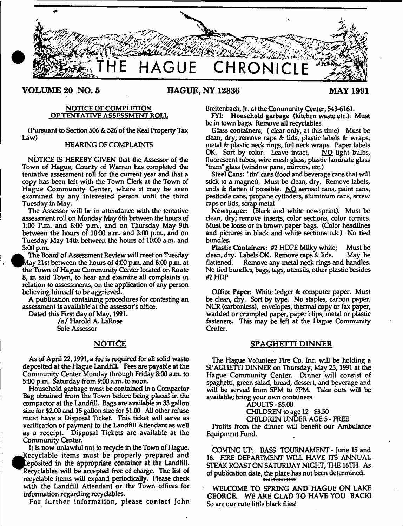

**VOLUME 20 NO. 5 HAGUE, NY 12836 MAY 1991**

### NOTICE OF COMPLETION OF TENTATIVE ASSESSMENT ROLL

(Pursuant to Section 506 & 526 of the Real Property Tax Law)

## HEARING OF COMPLAINTS

NOTICE IS HEREBY GIVEN that the Assessor of the Town of Hague, County of Warren has completed the tentative assessment roll for the current year and that a copy has been left with the Town Clerk at the Town of Hague Community Center, where it may be seen examined by any interested person until the third Tuesday in May.

The Assessor will be in attendance with the tentative assessment roll on Monday May 6th between the hours of 1:00 P.m. and 8:00 p.m., and on Thursday May 9th between the hours of  $10:00$  a.m. and  $3:00$  p.m., and on Tuesday May 14th between the hours of 10:00 a.m. and 3:00 p.m.

The Board of Assessment Review will meet on Tuesday ^ ^ v la y 21st between the hours of 4:00 pjn. and 8:00 pjn. at the Town of Hague Community Center located on Route <sup>8</sup> , in said Town, to hear and examine all complaints in relation to assessments, on the application of any person believing himself to be aggrieved.

A publication containing procedures for contesting an assessment is available at the assessor's office.

Dated this First day of May, 1991.

*Is/* Harold A. LaRose Sole Assessor

# NOTICE

As of April 22,1991, a fee is required for all solid waste deposited at the Hague Landfill. Fees are payable at the Community Center Monday through Friday 8:00 a m to 5:00 p.m. Saturday from *9:00* a m to noon.

Household garbage must be contained in a Compactor Bag obtained from the Town before being placed in the compactor at the Landfill. Bags are available in 33 gallon size for \$2.00 and 15 gallon size for \$1.00. All other refuse must have a Disposal Ticket. This ticket will serve as verification of payment to the Landfill Attendant as well as a receipt. Disposal Tickets are available at the Community Center.

It is now unlawful not to recyde in the Town of Hague. Recyclable items must be properly prepared and leposited in the appropriate container at the Landfill. Recyclables will be accepted free of charge. The list of recyclable items will expand periodically. Please check with the Landfill Attendant or the Town offices for information regarding recydables.

For further information, please contact John

Breitenbach, Jr. at the Community Center, 543-6161.

FY1: Household garbage (kitchen waste etc.): Must be in town bags. Remove all recyclables.

Glass containers; ( clear only, at this time) Must be dean, dry; remove caps & lids, plastic labels & wraps, metal & plastic neck rings, foil neck wraps. Paper labels<br>OK. Sort by color. Leave intact. NO light bulbs, OK. Sort by color. Leave intact. fluorescent tubes, wire mesh glass, plastic laminate glass "tram" glass (window pane, mirrors, etc.)

Steel Cans: "tin" cans (food and beverage cans that will stick to a magnet). Must be dean, dry. Remove labels, ends & flatten if possible. NO aerosol cans, paint cans, pesticide cans, propane cylinders, aluminum cans, screw caps or lids, scrap metal

Newspaper. (Black and white newsprint). Must be dean, dry; remove inserts, color sections, color comics. Must be loose or in brown paper bags. (Color headlines and pictures in black and white sections o.k.) No tied bundles.

Plastic Containers: #2 HDPE Milky white; Must be dean, dry. Labels OK. Remove caps & lids. May be flattened. Remove any metal neck rings and handles. No tied bundles, bags, tags, utensils, other plastic besides #2 HDP

Office Paper: White ledger & computer paper. Must be dean, dry. Sort by type. No staples, carbon paper, NCR (carbonless), envelopes, thermal copy or fax paper, wadded or crumpled paper, paper dips, metal or plastic fasteners. This may be left at the Hague Community Center.

#### **SPAGHETTI DINNER**

The Hague Volunteer Fire Co. Inc. will be holding a SPAGHETTI DINNER on Thursday, May 25,1991 at the Hague Community Center. Dinner will consist of spaghetti, green salad, bread, dessert, and beverage and will be served from 5PM to 7PM. Take outs will be available; bring your own containers

#### ADULTS -\$5.00

CHILDREN to age 12 - \$3.50

CHILDREN UNDER AGE 5 - FREE

Profits from the dinner will benefit our Ambulance Equipment Fund.

COMING UP: BASS TOURNAMENT - June 15 and 16. FIRE DEPARTMENT WILL HAVE ITS ANNUAL STEAK ROAST ON SATURDAY NIGHT, THE 16TH. As of publication date, the place has not been determined.

WELCOME TO SPRING AND HAGUE ON LAKE GEORGE. WE ARE GLAD TO HAVE YOU BACK! So are our cute little black flies!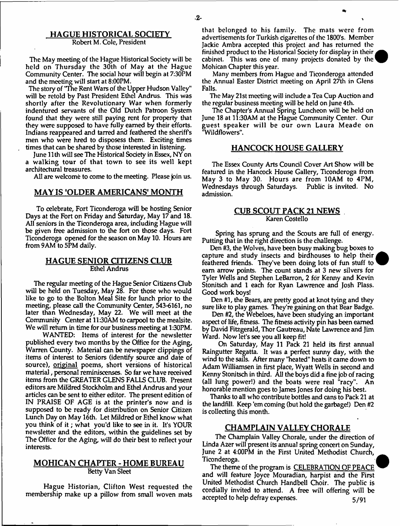#### HAGUE HISTORICAL SOCIETY Robert M. Cole, President

The May meeting of the Hague Historical Society will be held on Thursday the 30th of May at the Hague Community Center. The social hour will begin at 7:30PM and the meeting will start at 8:00PM.

The story of "The Rent Wars of the Upper Hudson Valley" will be retold by Past President Ethel Andrus. This was shortly after the Revolutionary War when formerly indentured servants of the Old Dutch Patroon System found that they were still paying rent for property that they were supposed to have fully earned by their efforts. Indians reappeared and tarred and feathered the sheriffs men who were hred to disposess them. Exciting times times that can be shared by those interested in listening.

June 11th will see The Historical Society in Essex, NY on a walking tour of that town to see its well kept architectural treasures.

All are welcome to come to the meeting. Please join us.

## MAY IS 'OLDER AMERICANS' MONTH

To celebrate, Fort Ticonderoga will be hosting Senior Days at the Fort on Friday and Saturday, May 17 and 18. All seniors in the Ticonderoga area, including Hague will be given free admission to the fort on those days. Fort Ticonderoga opened for the season on May 10. Hours are from 9AM to 5PM daily.

#### HAGUE SENIOR CITIZENS CLUB Ethel Andrus

The regular meeting of the Hague Senior Citizens Club will be held on Tuesday, May 28. For those who would like to go to the Bolton Meal Site for lunch prior to the meeting, please call the Community Center, 543-6161, no later than Wednesday, May 22. We will meet at the Community Center at 11:30AM to carpool to the mealsite. We will return in time for our business meeting at 1:30PM.

WANTED: Items of interest for the newsletter published every two months by the Office for the Aging, Warren County. Material can be newspaper dippings of items of interest to Seniors (identify source and date of source), original poems, short versions of historical materia], personal reminiscenses. So far we have received items from the GREATER GLENS FALLS CLUB. Present editors are Mildred Stockholm and Ethel Andrus and your artides can be sent to either editor. The present edition of IN PRAISE OF AGE is at the printer's now and is supposed to be ready for distribution on Senior Citizen Lunch Day on May 16th. Let Mildred or Ethel know what you think of it; what you'd like to see in it. It's YOUR newsletter and the editors, within the guidelines set by The Office for the Aging, will do their best to reflect your interests.

## MOHICAN CHAPTER - HOME BUREAU Betty Van Sleet

Hague Historian, Clifton West requested the membership make up a pillow from small woven mats

that belonged to his family. The mats were from advertisements for Turkish cigarettes of the 1800's. Member Jackie Ambra accepted this project and has returned the finished product to the Historical Society for display in their cabinet. This was one of many projects donated by the Mohican Chapter this year.

Many members from Hague and Ticonderoga attended the Annual Easter District meeting on April 27th in Glens Falls.

The May 21st meeting will include a Tea Cup Auction and the regular business meeting will be held on June 4th.

The Chapter's Annual Spring Luncheon will be held on June 18 at 11:30AM at the Hague Community Center. Our guest speaker will be our own Laura Meade on "Wildflowers".

#### HANCOCK HOUSE GALLERY

The Essex County Arts Council Cover Art Show will be featured in the Hancock House Gallery, Ticonderoga from May 3 to May 30. Hours are from 10AM to 4PM, Wednesdays through Saturdays. Public is invited. No admission.

## CUB SCOUT PACK 21 NEWS Karen Costello

Spring has sprung and the Scouts are full of energy. Putting that in the right direction is the challenge.

Den #3, the Wolves, have been busy making bug boxes to capture and study insects and birdhouses to help their feathered friends. They've been doing lots of fun stuff to earn arrow points. The count stands at 3 new silvers for Tyler Wells and Stephen LeBarron, 2 for Kenny and Kevin Stonitsch and 1 each for Ryan Lawrence and Josh Plass. Good work boys!

Den #1, the Bears, are pretty good at knot tying and they sure like to play games. They're gaining on that Bear Badge.

Den #2, the Webeloes, have been studying an important aspect of life, fitness. The fitness activity pin has been earned by David Fitzgerald, Thor Gautreau, Nate Lawrence and Jim Ward. Now let's see you all keep fit!

On Saturday, May 11 Pack 21 held its first annual Raingutter Regatta. It was a perfect sunny day, with the wind to the sails. After many "heated" heats it came down to Adam Williamsen in first place, Wyatt Wells in second and Kenny Stonitsch in third. All the boys did a fine job of racing (all lung power!) and the boats were real "racy". An honorable mention goes to James Jones for doing his best.

Thanks to all who contribute bottles and cans to Pack 21 at the landfill. Keep 'em coming (but hold the garbage!) Den #2 is collecting this month.

## CHAMPLAIN VALLEY CHORALE

The Champlain Valley Chorale, under the direction of Linda Azer will present its annual spring concert on Sunday, June 2 at 4:00PM in the First United Methodist Church, Ticonderoga.

The theme of the program is CELEBRATION OF PEACE and will feature Joyce Mouradian, harpist and the First United Methodist Church Handbell Choir. The public is cordially invited to attend. A free will offering will be accepted to help defray expenses.  $5/91$ 

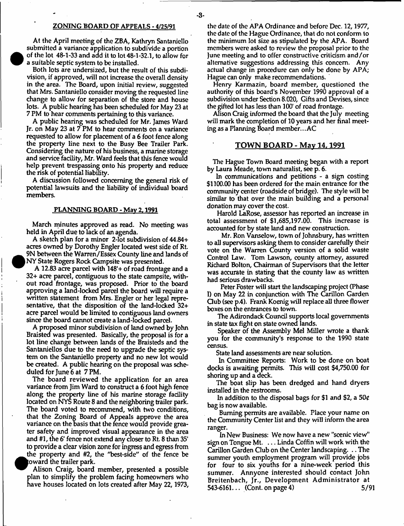#### ZONING BOARD OF APPEALS - 4/25/91

At the April meeting of the ZBA, Kathryn Santaniello submitted a variance application to subdivide a portion of the lot 48-1-33 and add it to lot 48-1-32.1, to allow for a suitable septic system to be installed.

Both lots are undersized, but the result of this subdivision, if approved, will not increase the overall density in the area. The Board, upon initial review, suggested that Mrs. Santaniello consider moving the requested line change to allow for separation of the store and house lots. A public hearing has been scheduled for May 23 at 7 PM to hear comments pertaining to this variance.

A public hearing was scheduled for Mr. James Ward Jr. on May 23 at 7 PM to hear comments on a variance requested to allow for placement of a 6 foot fence along the property line next to the Busy Bee Trailer Park. Considering the nature of his business, a marine storage and service facility, Mr. Ward feels that this fence would help prevent trespassing onto his property and reduce the risk of potential liability.

A discussion followed concerning the general risk of potential lawsuits and the liability of individual board members.

#### PLANNING BOARD - May 2.1991

March minutes approved as read. No meeting was held in April due to lack of an agenda.

A sketch plan for a minor 2-lot subdivision of 44.84+ acres owned by Dorothy Engler located west side of Rt. 9N between the Warren/Essex County line and lands of NY State Rogers Rock Campsite was presented.

A 12.83 acre parcel with 148'+ of road frontage and a 32+ acre parcel, contiguous to the state campsite, without road frontage, was proposed. Prior to the board approving a land-locked parcel the board will require a written statement from Mrs. Engler or her legal representative, that the disposition of the land-locked 32+ acre parcel would be limited to contiguous land owners since the board cannot create a land-locked parcel.

A proposed minor subdivision of land owned by John Braisted was presented. Basically, the proposal is for a lot line change between lands of the Braisteds and the Santaniellos due to the need to upgrade the septic system on the Santaniello property and no new lot would be created. A public hearing on the proposal was scheduled for June 6 at 7 PM.

The board reviewed the application for an area variance from Jim Ward to construct a 6 foot high fence along the property line of his marine storage facility located on NYS Route 8 and the neighboring trailer park. The board voted to recommend, with two conditions, that the Zoning Board of Appeals approve the area variance on the basis that the fence would provide greater safety and improved visual appearance in the area and  $#1$ , the 6' fence not extend any closer to Rt. 8 than 35' to provide a clear vision zone for ingress and egress from the property and #2, the "best-side" of the fence be toward the trailer park.

Alison Craig, board member, presented a possible plan to simplify the problem facing homeowners who have houses located on lots created after May 22, 1973,

the date of the APA Ordinance and before Dec. 12,1977, the date of the Hague Ordinance, that do not conform to the minimum lot size as stipulated by the APA. Board members were asked to review the proposal prior to the June meeting and to offer constructive criticism and/or alternative suggestions addressing this concern. Any actual change in procedure can only be done by APA; Hague can only make recommendations.

Henry Karmazin, board member, questioned the authority of this board's November 1990 approval of a subdivision under Section 8.020, Gifts and Devises, since the gifted lot has less than 100' of road frontage.

Alison Craig informed the board that the July meeting will mark the completion of 10 years and her final meeting as a Planning Board member.. .AC

#### TOWN BOARD - Mav 14.1991

The Hague Town Board meeting began with a report by Laura Meade, town naturalist, see p. <sup>6</sup> .

In communications and petitions - a sign costing \$1100.00 has been ordered for the main entrance for the community center (roadside of bridge). The style will be similar to that over the main building and a personal donation may cover the cost.

Harold LaRose, assessor has reported an increase in total assessment of \$1,685,197.00. This increase is accounted for by state land and new construction.

Mr. Ron Vanselow, town of Johnsbury, has written to all supervisors asking them to consider carefully their vote on the Warren County version of a solid waste Control Law. Tom Lawson, county attorney, assured Richard Bolton, Chairman of Supervisors that the letter was accurate in stating that the county law as written had serious drawbacks.

Peter Foster will start the landscaping project (Phase I) on May 22 in conjunction with The Carillon Garden Q ub (see p.4). Frank Koenig will replace all three flower boxes on the entrances to town.

The Adirondack Council supports local governments in state tax fight on state owned lands.

Speaker of the Assembly Mel Miller wrote a thank you for the community's response to the 1990 state census.

State land assessments are near solution.

In Committee Reports: Work to be done on boat docks is awaiting permits. This will cost \$4,750.00 for shoring up and a deck.

The boat slip has been dredged and hand dryers installed in the restrooms.

In addition to the disposal bags for \$1 and \$2, a  $50¢$ bag is now available.

Burning permits are available. Place your name on the Community Center list and they will inform the area ranger.

In New Business: We now have a new "scenic view" sign on Tongue Mt. ... Linda Coffin will work with the Carillon Garden Club on the Center landscaping. .. The summer youth employment program will provide jobs for four to six youths for a nine-week period this summer. Annyone interested should contact John Breitenbach, Jr., Development Administrator at 543-6161... (Cont. on page 4) 5/91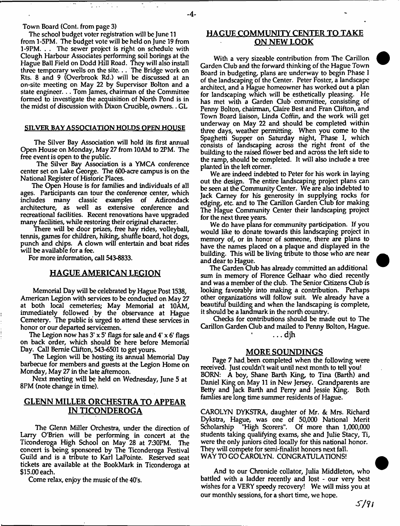#### Town Board (Cont. from page 3)

The school budget voter registration will be June 11 from 1-5PM. The budget vote will be held on June 19 from 1-9PM. . . The sewer project is right on schedule with Clough Harbour Associates performing soil borings at the Hague Ball Field on Dodd Hill Road. They will also install three temporary wells on the site... The Bridge work on Rts. 8 and 9 (Overbrook Rd.) will be discussed at an on-site meeting on May 22 by Supervisor Bolton and a state engineer. .. Tom James, chairman of the Committee formed to investigate the acquisition of North Pond is in the midst of discussion with Dixon Crucible, owners.. GL

#### SILVER BAY ASSOCIATION HOLDS OPEN HOUSE

The Silver Bay Association will hold its first annual Open House on Monday, May 27 from 10AM to 2PM. The free event is open to the public.

The Silver Bay Association is a YMCA conference center set on Lake George. The 600-acre campus is on the National Register of Historic Places.

The Open House is for families and individuals of all ages. Participants can tour the conference center, which<br>includes many classic examples of Adirondack classic examples of architecture, as well as extensive conference and recreational facilities. Recent renovations have upgraded many facilities, while restoring their original character.

There will be door prizes, free hay rides, volleyball, tennis, games for children, hiking, shuffle board, hot dogs, punch and chips. A clown will entertain and boat rides will be available for a fee.

For more information, call 543-8833.

## HAGUE AMERICAN LEGION

Memorial Day will be celebrated by Hague Post 1538, American Legion with services to be conducted on May 27 at both local cemeteries; May Memorial at 10AM, immediately followed by the observance at Hague Cemetery. The public is urged to attend these services in honor or our departed servicemen.

The Legion now has  $3' \times 5'$  flags for sale and  $4' \times 6'$  flags on back order, which should be here before Memorial Day. Call Bemie Clifton, 543-6501 to get yours.

The Legion will be hosting its annual Memorial Day barbecue for members and guests at the Legion Home on Monday, May 27 in the late afternoon.

Next meeting will be held on Wednesday, June 5 at 8PM (note change in time).

# GLENN MILLER ORCHESTRA TO APPEAR IN TICONDEROGA

The Glenn Miller Orchestra, under the direction of Larry O'Brien will be performing in concert at the Ticonderoga High School on May 28 at 7:30PM. The concert is being sponsored by The Ticonderoga Festival Guild and is a tribute to Karl LaPointe. Reserved seat tickets are available at the BookMark in Ticonderoga at \$15.00 each.

Come relax, enjoy the music of the 40's.

# HAGUE COMMUNITY CENTER TO TAKE ON NEW LOOK

With a very sizeable contribution from The Carillon Garden Club and the forward thinking of the Hague Town Board in budgeting, plans are underway to begin Phase I of the landscaping of the Center. Peter Foster, a landscape architect, and a Hague homeowner has worked out a plan for landscaping which will be esthetically pleasing. He has met with a Garden Club committee, consisting of Penny Bolton, chairman, Claire Best and Fran Gifton, and Town Board liaison, Linda Coffin, and the work will get underway on May 22 and should be completed within three days, weather permitting. When you come to the Spaghetti Supper on Saturday night, Phase I, which consists of landscaping across the right front of the building to the raised flower bed and across the left side to the ramp, should be completed. It will also include a tree planted in the left comer.

We are indeed indebted to Peter for his work in laying out the design. The entire landscaping project plans can be seen at the Community Center. We are also indebted to Jack Carney for his generosity in supplying rocks for edging, etc. and to The Carillon Garden Club for making The Hague Community Center their landscaping project for the next three years.

We do have plans for community participation. If you would like to donate towards this landscaping project in memory of, or in honor of someone, there are plans to have the names placed on a plaque and displayed in the building. This will be living tribute to those who are near and dear to Hague.

The Garden Qub has already committed an additional sum in memory of Florence Gelhaar who died recently and was a member of the club. The Senior Citizens Club is looking favorably into making a contribution. Perhaps other organizations will follow suit. We already have a beautiful building and when the landscaping is complete, it should be a landmark in the north country.

Checks for contributions should be made out to The Carillon Garden Gub and mailed to Penny Bolton, Hague. ... djh

#### MORE SOUNDINGS

Page 7 had. been completed when the following were received. Just couldn't wait until next month to tell you! BORN: A boy, Shane Barth King, to Tina (Barth) and Daniel King on May 11 in New Jersey. Grandparents are Betty and Jack Barth and Perry and Jessie King, Both famlies are long time summer residents of Hague.

CAROLYN DYKSTRA, daughter of Mr. & Mrs. Richard Dykstra, Hague, was one of 50,000 National Merit Scholarship "High Scorers". Of more than 1,000,000 students taking qualifying exams, she and Julie Stacy, Ti, were the only juniors cited locally for this national honor. They will compete for semi-finalist honors next fall. WAY TO GO CAROLYN. CONGRATULATIONS!

And to our Chronicle collator, Julia Middleton, who battled with a ladder recently and lost - our very best wishes for a VERY speedy recovery! We will miss you at our monthly sessions, for a short time, we hope.

*s/* ?/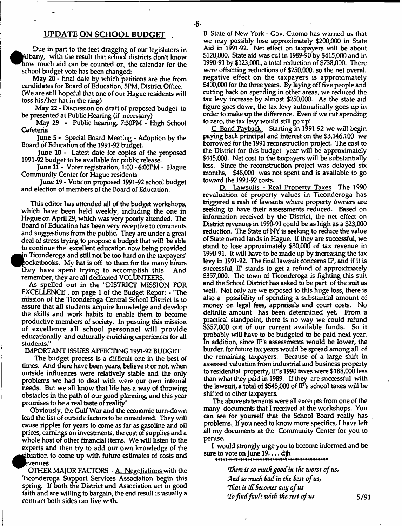# UPDATE ON SCHOOL BUDGET

Due in part to the feet dragging of our legislators in ^^A lbany, with the result that school districts don't know how much aid can be counted on, the calendar for the school budget vote has been changed:

May 20 - final date by which petitions are due from candidates for Board of Education, 5PM, District Office. (We are still hopeful that one of our Hague residents will toss his/her hat in the ring)

May 22 - Discussion on draft of proposed budget to be presented at Public Hearing (if necessary)

May 29 - Public hearing, 7:30PM - High School Cafeteria

June 5 - Special Board Meeting - Adoption by the Board of Education of the 1991-92 budget.

June 10 - Latest date for copies of the proposed 1991-92 budget to be available for public release.

June 11 - Voter registration, 1:00 - 6:00PM - Hague Community Center for Hague residents

June 19 - Vote on proposed 1991-92 school budget and election of members of the Board of Education.

This editor has attended all of the budget workshops, which have been held weekly, including the one in Hague on April 29, which was very poorly attended. The Board of Education has been very receptive to comments and suggestions from the public. They are under a great deal of stress trying to propose a budget that will be able to continue the excellent education now being provided  $\bullet$ n Ticonderoga and still not be too hard on the taxpayers' bocketbooks. My hat is off to them for the many hours they have spent trying to accomplish this. And remember, they are all dedicated VOLUNTEERS.

As spelled out in the "DISTRICT MISSION FOR EXCELLENCE", on page 1 of the Budget Report - "The mission of the Ticonderoga Central School District is to assure that all students acquire knowledge and develop the skills and work habits to enable them to become productive members of society. In pusuing this mission of excellence all school personnel will provide educationally and culturally enriching experiences for all students."

IMPORTANT ISSUES AFFECTING 1991-92 BUDGET

The budget process is a difficult one in the best of times. And there have been years, believe it or not, when outside influences were relatively stable and the only problems we had to deal with were our own internal needs. But we all know that life has a way of throwing obstacles in the path of our good planning, and this year promises to be a real taste of reality!

Obviously, the Gulf War and the economic turn-down lead the list of outside factors to be considered. They will cause ripples for years to come as far as gasoline and oil prices, earnings on investments, the cost of supplies and a whole host of other financial items. We will listen to the experts and then try to add our own knowledge of the 'tuation to come up with future estimates of costs and : venues

 $\bullet$ OTHER MAJOR FACTORS - A. Negotiations with the Ticonderoga Support Services Association begin this spring. If both the District and Association act in good faith and are willing to bargain, the end result is usually a contract both sides can live with.

B. State of New York - Gov. Cuomo has warned us that we may possibly lose approximately \$200,000 in State Aid in 1991-92. Net effect on taxpayers will be about \$120,000. State aid was cut in 1989-90 by \$415,000 and in 1990-91 by \$123,000., a total reduction of \$738,000. There were offsetting reductions of \$250,000, so the net overall negative effect on the taxpayers is approximately \$400,000 for the three years. By laying off five people and cutting back on spending in other areas, we reduced the tax levy increase by almost \$250,000. As the state aid figure goes down, the tax levy automatically goes up in order to make up the difference. Even if we cut spending to zero, the tax levy would still go up!

C. Bond Payback Starting in 1991-92 we will begin paying back principal and interest on the \$3,146,100 we borrowed for the 1991 reconstruction project. The cost to the District for this budget year will be approximately \$445,000. Net cost to the taxpayers will be substantially less. Since the reconstruction project was delayed six months, \$48,000 was not spent and is available to go toward the 1991-92 costs.

Lawsuits - Real Property Taxes The 1990 revaluation of property values in Ticonderoga has triggered a rash of lawsuits where property owners are seeking to have their assessments reduced. Based on information received by the District, the net effect on District revenues in 1990-91 could be as high as a \$23,000 reduction. The State of NY is seeking to reduce the value of State owned lands in Hague. If they are successful, we stand to lose approximately \$30,000 of tax revenue in 1990-91. It will have to be made up by increasing the tax levy in 1991-92. The final lawsuit concerns IP, and if it is successful, IP stands to get a refund of approximately \$357,000. The town of Ticonderoga is fighting this suit and the School District has asked to be part of the suit as well. Not only are we exposed to this huge loss, there is also a possibility of spending a substantial amount of money on legal fees, appraisals and court costs. No definite amount has been determined yet. From a practical standpoint, there is no way we could refund \$357,000 out of our current available funds. So it probably will have to be budgeted to be paid next year. In addition, since IP's assessments would be lower, the burden for future tax years would be spread among ail of the remaining taxpayers. Because of a large shift in assessed valuation from industrial and business property to residential property, IP's 1990 taxes were \$188,000 less than what they paid in 1989. If they are successful with the lawsuit, a total of  $$545,000$  of IP's school taxes will be shifted to other taxpayers.

The above statements were all excerpts from one of the many documents that I received at the workshops. You can see for yourself that the School Board really has problems. If you need to know more specifics, I have left all my documents at the Community Center for you to peruse.

I would strongly urge you to become informed and be sure to vote on June  $19. \ldots$  djh

> *tIftere is so muck good in the worst of us, And so muck Bad in tke Best of us, That it ill becomes any of us Tofindfault ufitk tke rest of us* 5/91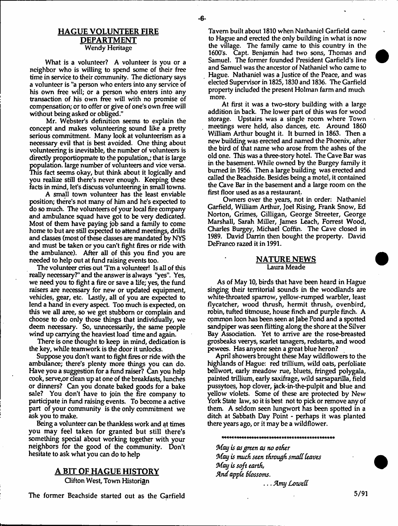# HAGUE VOLUNTEER FIRE DEPARTMENT Wendy Heritage

What is a volunteer? A volunteer is you or a neighbor who is willing to spend some of their free time in service to their community. The dictionary says a volunteer is "a person who enters into any service of his own free will; or a person who enters into any transaction of his own free will with no promise of compensation; or to offer or give of one's own free will without being asked or obliged."

Mr. Webster's definition seems to explain the concept and makes volunteering sound like a pretty serious commitment. Many look at volunteerism as a necessary evil that is best avoided. One thing about volunteering is inevitable, the number of volunteers is directly proportiopmate to the population,; that is large population, large number of volunteers and vice versa. This fact seems okay, but think about it logically and you realize still there's never enough. Keeping these facts in mind, let's discuss volunteering in small towns.

A small town volunteer has the least enviable position; there's not many of him and he's expected to do so much. The volunteers of your local fire company and ambulance squad have got to be very dedicated. Most of them have paying job sand a family to come home to but are still expected to attend meetings, drills and classes (most of these classes are mandated by NYS and must be taken or you can't fight fires or ride with the ambulance). After all of this you find you are needed to help out at fund raising events too.

The volunteer cries out 'Tm a volunteer! Is all of this really necessary?" and the answer is always "yes". Yes, we need you to fight a fire or save a life; yes, the fund raisers are necessary for new or updated equipment, vehicles, gear, etc. Lastly, all of you are expected to lend a hand in every aspect. Too much is expected, on this we all aree, so we get stubborn or complain and choose to do only those things that individually, we deem necessary. So, unnecessarily, the same people wind up carrying the heaviest load time and again.

There is one thought to keep in mind, dedication is the key, while teamwork is the door it unlocks.

Suppose you don't want to fight fires or ride with the ambulance; there's plenty more things you can do. Have you a suggestion for a fund raiser? Can you help cook, serve,or dean up at one of the breakfasts, lunches or dinners? Can you donate baked goods for a bake sale? You don't have to join the fire company to partidpate in fund raising events. To become a active part of your community is the only commitment we ask you to make.

Being a volunteer can be thankless work and at times you may feel taken for granted but still there's something spedal about working together with your neighbors for the good of the community. Don't hesitate to ask what you can do to help

### A BIT OF HAGUE HISTORY

Clifton West, Town Historian

The former Beachside started out as the Garfield

Tavern built about 1810 when Nathaniel Garfield came to Hague and erected the only building in what is now the village. The family came to this country in the 1600's. Capt. Benjamin had two sons, Thomas and Samuel. The former founded President Garfield's line and Samuel was the ancestor of Nathaniel who came to Hague. Nathaniel was a Justice of the Peace, and was elected Supervisor in 1825,1830 and 1836. The Garfield property included the present Holman farm and much more.

At first it was a two-story building with a large addition in back. The lower part of this was for wood storage. Upstairs was a single room where Town meetings were held, also dances, etc. Around 1860 William Arthur bought it. It burned in 1863. Then a new building was erected and named the Phoenix, after the bird of that name who arose from the ashes of the old one. This was a three-story hotel. The Cave Bar was in the basement. While owned by the Burgey family it burned in 1956. Then a large building was erected and called the Beachside. Besides being a motel, it contained the Cave Bar in the basement and a large room on the first floor used as as a restaurant.

Owners over the years, not in order: Nathaniel Garfield, William Arthur, Joel Rising, Frank Snow, Ed Norton, Grimes, Gilligan, George Streeter, George Marshall, Sarah Miller, James Leach, Forrest Wood, Charles Burgey, Michael Coffin, The Cave closed in 1989. David Darrin then bought the property. David DeFranco razed it in 1991.

#### NATURE NEWS Laura Meade

As of May 10, birds that have been heard in Hague singing their territorial sounds in the woodlands are white-throated sparrow, yellow-rumped warbler, least flycatcher, wood thrush, hermit thrush, ovenbird, robin, tufted titmouse, house finch and purple finch. A common loon has been seen at Jabe Pond and a spotted sandpiper was seen flitting along the shore at the Silver Bay Association. Yet to arrive are the rose-breasted grosbeaks veerys, scarlet tanagers, redstarts, and wood pewees. Has anyone seen a great blue heron?

April showers brought these May wild flowers to the highlands of Hague: red trillium, wild oats, perfoliate bellwort, early meadow rue, bluets, fringed polygala, painted trillium, early saxifrage, wild sarsaparilla, field pussytoes, hop clover, jack-in-the-pulpit and blue and yellow violets. Some of these are protected by New York State law, so it is best not to pick or remove any of them. A seldom seen lungwort has been spotted in a ditch at Sabbath Day Point - perhaps it was planted there years ago, or it may be a wildflower.

#### 

*May is asgreen as no other May is much sun through small leaves May is soft earth, And apple Blossoms.*

... *Amy Lowed*

5/91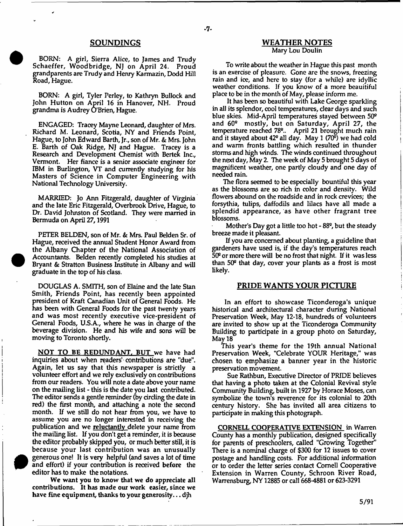BORN: A girl, Sierra Alice, to James and Trudy Schaeffer, Woodbridge, NJ on April 24. Proud grandparents are Trudy and Henry Karmazin, Dodd Hill Road, Hague.

BORN: A girl, Tyler Perley, to Kathryn Bullock and John Hutton on April 16 in Hanover, NH. Proud grandma is Audrey O'Brien, Hague.

ENGAGED; Traoey Mayne Leonard, daughter of Mrs. Richard M. Leonard, Scotia, NY and Friends Point, Hague, to John Edward Barth, Jr., son of Mr. *&* Mrs. John E. Barth of Oak Ridge, NJ and Hague. Tracey is a Research and Development Chemist with Bertek Inc., Vermont. Her fiance is a senior associate engineer for IBM in Burlington, VT and currently studying for his M asters of Science in Computer Engineering with National Technology University.

MARRIED: Jo Ann Fitzgerald, daughter of Virginia and the late Eric Fitzgerald, Overbrook Drive, Hague, to Dr. David Johnston of Scotland. They were married in Bermuda on April 27,1991

PETER BELDEN, son of Mr. *&* Mrs. Paul Belden Sr. of Hague, received the annual Student Honor Award from the Albany Chapter of the National Association of Accountants. Belden recently completed his studies at Bryant *&* Stratton Business Institute in Albany and will graduate in the top of his class.

DOUGLAS A. SMITH, son of Elaine and the late Stan Smith, Friends Point, has recently been appointed president of Kraft Canadian Unit of General Foods. He has been with General Foods for the past twenty years and was most recently executive vice-president of General Foods, U.S.A., where he was in charge of the beverage division. He and his wife and sons will be moving to Toronto shortly.

NOT TO BE REDUNDANT. BUT we have had inquiries about when readers' contributions are "due". Again, let us say that this newspaper is strictly a volunteer effort and we rely exclusively on contributions from our readers. You will note a date above your name on the mailing list - this is the date you last contributed. The editor sends a gentle reminder (by circling the date in red) the first month, and attaching a note the second month. If we still do not hear from you, we have to assume you are no longer interested in receiving the publication and we reluctantly delete your name from the mailing list. If you don't get a reminder, it is because the editor probably skipped you, or much better still, it is because your last contribution was an unusually generous one! It is very helpful (and saves a lot of time and effort) if your contribution is received before the editor has to make the notations.



#### SOUNDINGS WEATHER NOTES Mary Lou Doulin

To write about the weather in Hague this past month is an exerdse of pleasure. Gone are the snows, freezing rain and ice, and here to stay (for a while) are idyllic weather conditions. If you know of a more beauitiful place to be in the month of May, please inform me.

It has been so beautiful with Lake George sparkling in all its splendor, cool temperatures, dear days and such blue skies. Mid-April temperatures stayed between 50° and 60° m ostly, but on Saturday, April 27, the temperature reached 78°.. April 21 brought much rain and it stayed about 42<sup>°</sup> all day. May 1 (70<sup>°</sup>) we had cold and warm fronts battling which resulted in thunder storms and high winds. The winds continued throughout the next day, May 2. The week of May 5 brought 5 days of magnificent weather, one partly cloudy and one day of needed rain.

The flora seemed to be especially bountiful this year as the blossoms are so rich in color and density. Wild flowers abound on the roadside and in rock crevices; the forsythia, tulips, daffodils and lilacs have all made a splendid appearance, as have other fragrant tree blossoms.

Mother's Day got a little too hot  $-88^\circ$ , but the steady breeze made it pleasant.

If you are concerned about planting, a guideline that gardeners have used is, if the day's temperatures reach  $50<sup>°</sup>$  or more there will be no frost that night. If it was less than 50" that day, cover your plants as a frost is most likely.

## PRIDE WANTS YOUR PICTURE

In an effort to showcase Ticonderoga's unique historical and architectural character during National Preservation Week, May 12-18, hundreds of volunteers are invited to show up at the Ticonderoga Community Building to participate in a group photo on Saturday, May 18

This year's theme for the 19th annual National Preservation Week, "Celebrate YOUR Heritage," was chosen to emphasize a banner year in the historic preservation movement.

Sue Rathbun, Executive Director of PRIDE believes that having a photo taken at the Colonial Revival style Community Building, built in 1927 by Horace Moses, can symbolize the town's reverence for its colonial to 20th century history. She has invited all area citizens to participate in making this photograph.

CORNELL COOPERATIVE EXTENSION in Warren County has a monthly publication, designed specifically for parents of preschoolers, called "Growing Together" There is a nominal charge of \$300 for 12 issues to cover postage and handling costs. For additional information or to order the letter series contact Cornell Cooperative Extension in Warren County, Schroon River Road, Warrensburg, NY 12885 or call 668-4881 or 623-3291